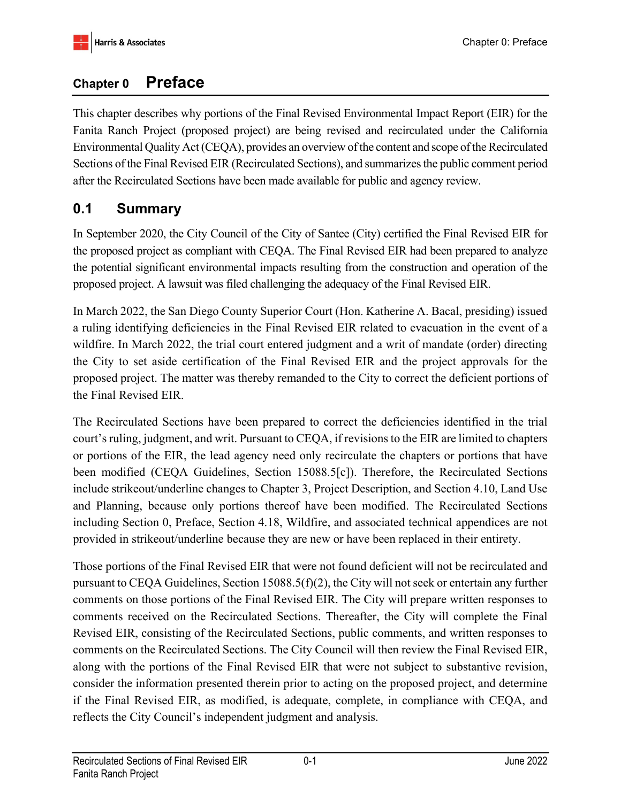# **Chapter 0 Preface**

This chapter describes why portions of the Final Revised Environmental Impact Report (EIR) for the Fanita Ranch Project (proposed project) are being revised and recirculated under the California Environmental Quality Act (CEQA), provides an overview of the content and scope of the Recirculated Sections of the Final Revised EIR (Recirculated Sections), and summarizes the public comment period after the Recirculated Sections have been made available for public and agency review.

# **0.1 Summary**

In September 2020, the City Council of the City of Santee (City) certified the Final Revised EIR for the proposed project as compliant with CEQA. The Final Revised EIR had been prepared to analyze the potential significant environmental impacts resulting from the construction and operation of the proposed project. A lawsuit was filed challenging the adequacy of the Final Revised EIR.

In March 2022, the San Diego County Superior Court (Hon. Katherine A. Bacal, presiding) issued a ruling identifying deficiencies in the Final Revised EIR related to evacuation in the event of a wildfire. In March 2022, the trial court entered judgment and a writ of mandate (order) directing the City to set aside certification of the Final Revised EIR and the project approvals for the proposed project. The matter was thereby remanded to the City to correct the deficient portions of the Final Revised EIR.

The Recirculated Sections have been prepared to correct the deficiencies identified in the trial court's ruling, judgment, and writ. Pursuant to CEQA, if revisions to the EIR are limited to chapters or portions of the EIR, the lead agency need only recirculate the chapters or portions that have been modified (CEQA Guidelines, Section 15088.5[c]). Therefore, the Recirculated Sections include strikeout/underline changes to Chapter 3, Project Description, and Section 4.10, Land Use and Planning, because only portions thereof have been modified. The Recirculated Sections including Section 0, Preface, Section 4.18, Wildfire, and associated technical appendices are not provided in strikeout/underline because they are new or have been replaced in their entirety.

Those portions of the Final Revised EIR that were not found deficient will not be recirculated and pursuant to CEQA Guidelines, Section 15088.5(f)(2), the City will not seek or entertain any further comments on those portions of the Final Revised EIR. The City will prepare written responses to comments received on the Recirculated Sections. Thereafter, the City will complete the Final Revised EIR, consisting of the Recirculated Sections, public comments, and written responses to comments on the Recirculated Sections. The City Council will then review the Final Revised EIR, along with the portions of the Final Revised EIR that were not subject to substantive revision, consider the information presented therein prior to acting on the proposed project, and determine if the Final Revised EIR, as modified, is adequate, complete, in compliance with CEQA, and reflects the City Council's independent judgment and analysis.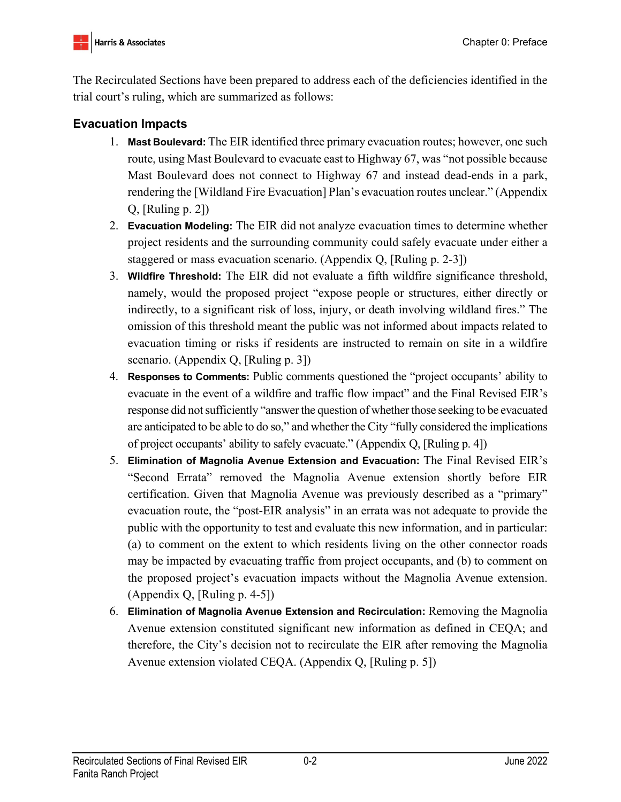The Recirculated Sections have been prepared to address each of the deficiencies identified in the trial court's ruling, which are summarized as follows:

## **Evacuation Impacts**

- 1. **Mast Boulevard:** The EIR identified three primary evacuation routes; however, one such route, using Mast Boulevard to evacuate east to Highway 67, was "not possible because Mast Boulevard does not connect to Highway 67 and instead dead-ends in a park, rendering the [Wildland Fire Evacuation] Plan's evacuation routes unclear." (Appendix Q, [Ruling p. 2])
- 2. **Evacuation Modeling:** The EIR did not analyze evacuation times to determine whether project residents and the surrounding community could safely evacuate under either a staggered or mass evacuation scenario. (Appendix Q, [Ruling p. 2-3])
- 3. **Wildfire Threshold:** The EIR did not evaluate a fifth wildfire significance threshold, namely, would the proposed project "expose people or structures, either directly or indirectly, to a significant risk of loss, injury, or death involving wildland fires." The omission of this threshold meant the public was not informed about impacts related to evacuation timing or risks if residents are instructed to remain on site in a wildfire scenario. (Appendix Q, [Ruling p. 3])
- 4. **Responses to Comments:** Public comments questioned the "project occupants' ability to evacuate in the event of a wildfire and traffic flow impact" and the Final Revised EIR's response did not sufficiently "answer the question of whether those seeking to be evacuated are anticipated to be able to do so," and whether the City "fully considered the implications of project occupants' ability to safely evacuate." (Appendix Q, [Ruling p. 4])
- 5. **Elimination of Magnolia Avenue Extension and Evacuation:** The Final Revised EIR's "Second Errata" removed the Magnolia Avenue extension shortly before EIR certification. Given that Magnolia Avenue was previously described as a "primary" evacuation route, the "post-EIR analysis" in an errata was not adequate to provide the public with the opportunity to test and evaluate this new information, and in particular: (a) to comment on the extent to which residents living on the other connector roads may be impacted by evacuating traffic from project occupants, and (b) to comment on the proposed project's evacuation impacts without the Magnolia Avenue extension. (Appendix Q, [Ruling p. 4-5])
- 6. **Elimination of Magnolia Avenue Extension and Recirculation:** Removing the Magnolia Avenue extension constituted significant new information as defined in CEQA; and therefore, the City's decision not to recirculate the EIR after removing the Magnolia Avenue extension violated CEQA. (Appendix Q, [Ruling p. 5])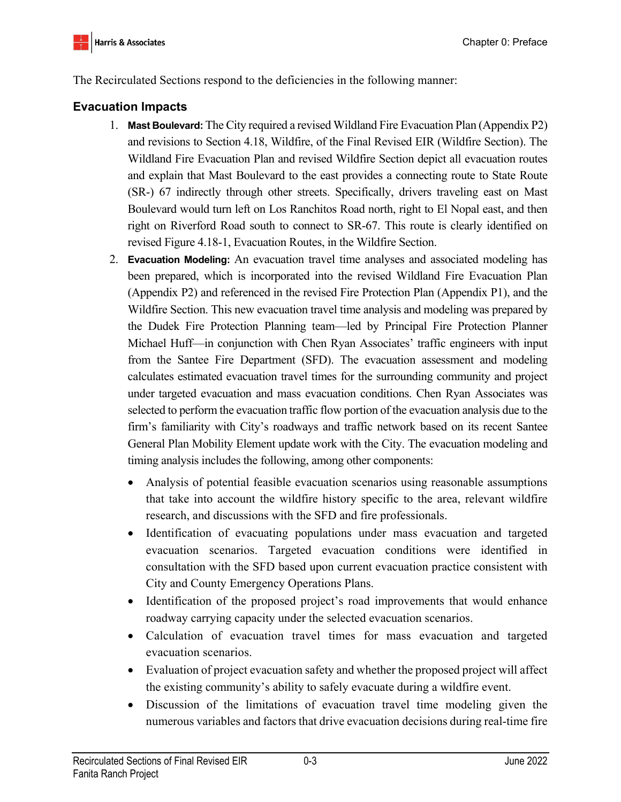The Recirculated Sections respond to the deficiencies in the following manner:

## **Evacuation Impacts**

- 1. **Mast Boulevard:** The City required a revised Wildland Fire Evacuation Plan (Appendix P2) and revisions to Section 4.18, Wildfire, of the Final Revised EIR (Wildfire Section). The Wildland Fire Evacuation Plan and revised Wildfire Section depict all evacuation routes and explain that Mast Boulevard to the east provides a connecting route to State Route (SR-) 67 indirectly through other streets. Specifically, drivers traveling east on Mast Boulevard would turn left on Los Ranchitos Road north, right to El Nopal east, and then right on Riverford Road south to connect to SR-67. This route is clearly identified on revised Figure 4.18-1, Evacuation Routes, in the Wildfire Section.
- 2. **Evacuation Modeling:** An evacuation travel time analyses and associated modeling has been prepared, which is incorporated into the revised Wildland Fire Evacuation Plan (Appendix P2) and referenced in the revised Fire Protection Plan (Appendix P1), and the Wildfire Section. This new evacuation travel time analysis and modeling was prepared by the Dudek Fire Protection Planning team—led by Principal Fire Protection Planner Michael Huff—in conjunction with Chen Ryan Associates' traffic engineers with input from the Santee Fire Department (SFD). The evacuation assessment and modeling calculates estimated evacuation travel times for the surrounding community and project under targeted evacuation and mass evacuation conditions. Chen Ryan Associates was selected to perform the evacuation traffic flow portion of the evacuation analysis due to the firm's familiarity with City's roadways and traffic network based on its recent Santee General Plan Mobility Element update work with the City. The evacuation modeling and timing analysis includes the following, among other components:
	- Analysis of potential feasible evacuation scenarios using reasonable assumptions that take into account the wildfire history specific to the area, relevant wildfire research, and discussions with the SFD and fire professionals.
	- Identification of evacuating populations under mass evacuation and targeted evacuation scenarios. Targeted evacuation conditions were identified in consultation with the SFD based upon current evacuation practice consistent with City and County Emergency Operations Plans.
	- Identification of the proposed project's road improvements that would enhance roadway carrying capacity under the selected evacuation scenarios.
	- Calculation of evacuation travel times for mass evacuation and targeted evacuation scenarios.
	- Evaluation of project evacuation safety and whether the proposed project will affect the existing community's ability to safely evacuate during a wildfire event.
	- Discussion of the limitations of evacuation travel time modeling given the numerous variables and factors that drive evacuation decisions during real-time fire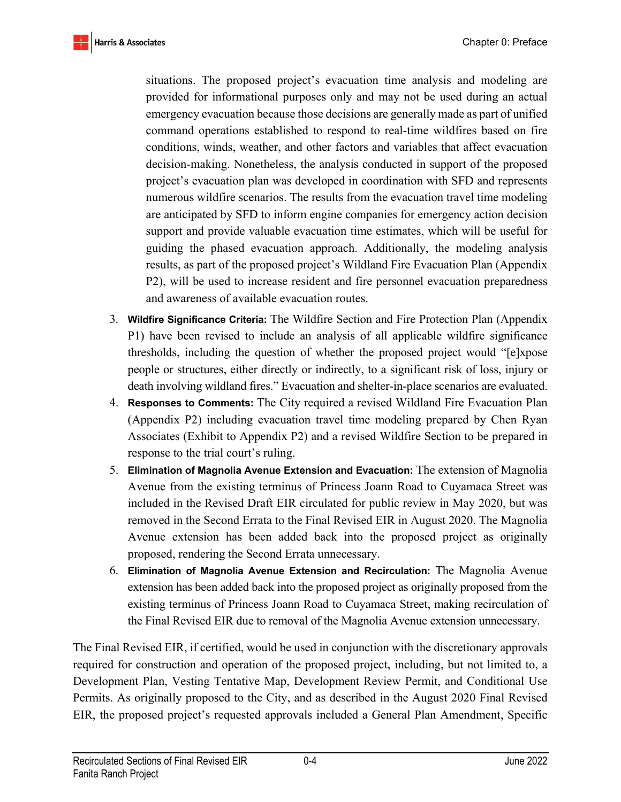situations. The proposed project's evacuation time analysis and modeling are provided for informational purposes only and may not be used during an actual emergency evacuation because those decisions are generally made as part of unified command operations established to respond to real-time wildfires based on fire conditions, winds, weather, and other factors and variables that affect evacuation decision-making. Nonetheless, the analysis conducted in support of the proposed project's evacuation plan was developed in coordination with SFD and represents numerous wildfire scenarios. The results from the evacuation travel time modeling are anticipated by SFD to inform engine companies for emergency action decision support and provide valuable evacuation time estimates, which will be useful for guiding the phased evacuation approach. Additionally, the modeling analysis results, as part of the proposed project's Wildland Fire Evacuation Plan (Appendix P2), will be used to increase resident and fire personnel evacuation preparedness and awareness of available evacuation routes.

- 3. **Wildfire Significance Criteria:** The Wildfire Section and Fire Protection Plan (Appendix P1) have been revised to include an analysis of all applicable wildfire significance thresholds, including the question of whether the proposed project would "[e]xpose people or structures, either directly or indirectly, to a significant risk of loss, injury or death involving wildland fires." Evacuation and shelter-in-place scenarios are evaluated.
- 4. **Responses to Comments:** The City required a revised Wildland Fire Evacuation Plan (Appendix P2) including evacuation travel time modeling prepared by Chen Ryan Associates (Exhibit to Appendix P2) and a revised Wildfire Section to be prepared in response to the trial court's ruling.
- 5. **Elimination of Magnolia Avenue Extension and Evacuation:** The extension of Magnolia Avenue from the existing terminus of Princess Joann Road to Cuyamaca Street was included in the Revised Draft EIR circulated for public review in May 2020, but was removed in the Second Errata to the Final Revised EIR in August 2020. The Magnolia Avenue extension has been added back into the proposed project as originally proposed, rendering the Second Errata unnecessary.
- 6. **Elimination of Magnolia Avenue Extension and Recirculation:** The Magnolia Avenue extension has been added back into the proposed project as originally proposed from the existing terminus of Princess Joann Road to Cuyamaca Street, making recirculation of the Final Revised EIR due to removal of the Magnolia Avenue extension unnecessary.

The Final Revised EIR, if certified, would be used in conjunction with the discretionary approvals required for construction and operation of the proposed project, including, but not limited to, a Development Plan, Vesting Tentative Map, Development Review Permit, and Conditional Use Permits. As originally proposed to the City, and as described in the August 2020 Final Revised EIR, the proposed project's requested approvals included a General Plan Amendment, Specific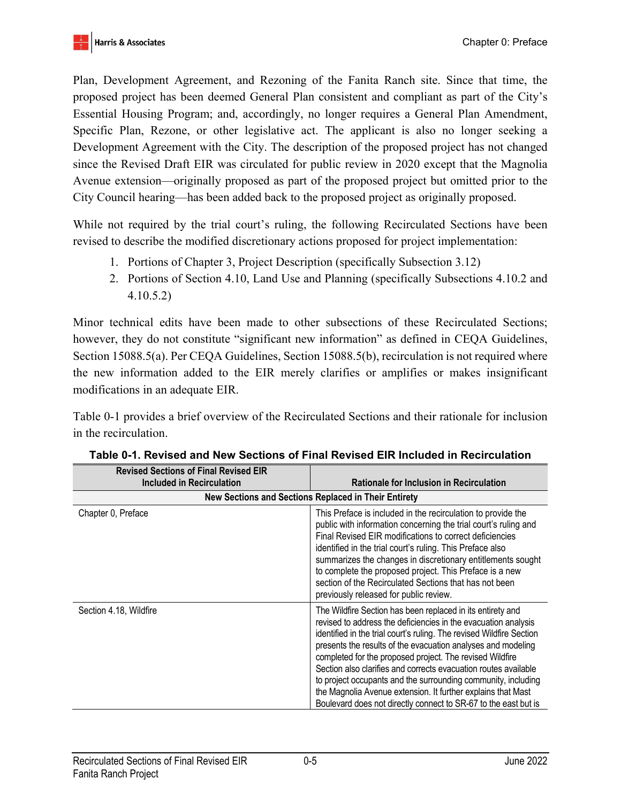Plan, Development Agreement, and Rezoning of the Fanita Ranch site. Since that time, the proposed project has been deemed General Plan consistent and compliant as part of the City's Essential Housing Program; and, accordingly, no longer requires a General Plan Amendment, Specific Plan, Rezone, or other legislative act. The applicant is also no longer seeking a Development Agreement with the City. The description of the proposed project has not changed since the Revised Draft EIR was circulated for public review in 2020 except that the Magnolia Avenue extension—originally proposed as part of the proposed project but omitted prior to the City Council hearing—has been added back to the proposed project as originally proposed.

While not required by the trial court's ruling, the following Recirculated Sections have been revised to describe the modified discretionary actions proposed for project implementation:

- 1. Portions of Chapter 3, Project Description (specifically Subsection 3.12)
- 2. Portions of Section 4.10, Land Use and Planning (specifically Subsections 4.10.2 and 4.10.5.2)

Minor technical edits have been made to other subsections of these Recirculated Sections; however, they do not constitute "significant new information" as defined in CEQA Guidelines, Section 15088.5(a). Per CEQA Guidelines, Section 15088.5(b), recirculation is not required where the new information added to the EIR merely clarifies or amplifies or makes insignificant modifications in an adequate EIR.

Table 0-1 provides a brief overview of the Recirculated Sections and their rationale for inclusion in the recirculation.

| ווש יוסכט טכטווטווס טו ו וווטו ולכיוסכט בוול<br>Included in Recirculation | <b>Rationale for Inclusion in Recirculation</b>                                                                                                                                                                                                                                                                                                                                                                                                                                                                                                                                                         |
|---------------------------------------------------------------------------|---------------------------------------------------------------------------------------------------------------------------------------------------------------------------------------------------------------------------------------------------------------------------------------------------------------------------------------------------------------------------------------------------------------------------------------------------------------------------------------------------------------------------------------------------------------------------------------------------------|
| New Sections and Sections Replaced in Their Entirety                      |                                                                                                                                                                                                                                                                                                                                                                                                                                                                                                                                                                                                         |
| Chapter 0, Preface                                                        | This Preface is included in the recirculation to provide the<br>public with information concerning the trial court's ruling and<br>Final Revised EIR modifications to correct deficiencies<br>identified in the trial court's ruling. This Preface also<br>summarizes the changes in discretionary entitlements sought<br>to complete the proposed project. This Preface is a new<br>section of the Recirculated Sections that has not been<br>previously released for public review.                                                                                                                   |
| Section 4.18, Wildfire                                                    | The Wildfire Section has been replaced in its entirety and<br>revised to address the deficiencies in the evacuation analysis<br>identified in the trial court's ruling. The revised Wildfire Section<br>presents the results of the evacuation analyses and modeling<br>completed for the proposed project. The revised Wildfire<br>Section also clarifies and corrects evacuation routes available<br>to project occupants and the surrounding community, including<br>the Magnolia Avenue extension. It further explains that Mast<br>Boulevard does not directly connect to SR-67 to the east but is |

**Table 0-1. Revised and New Sections of Final Revised EIR Included in Recirculation Revised Sections of Final Revised EIR**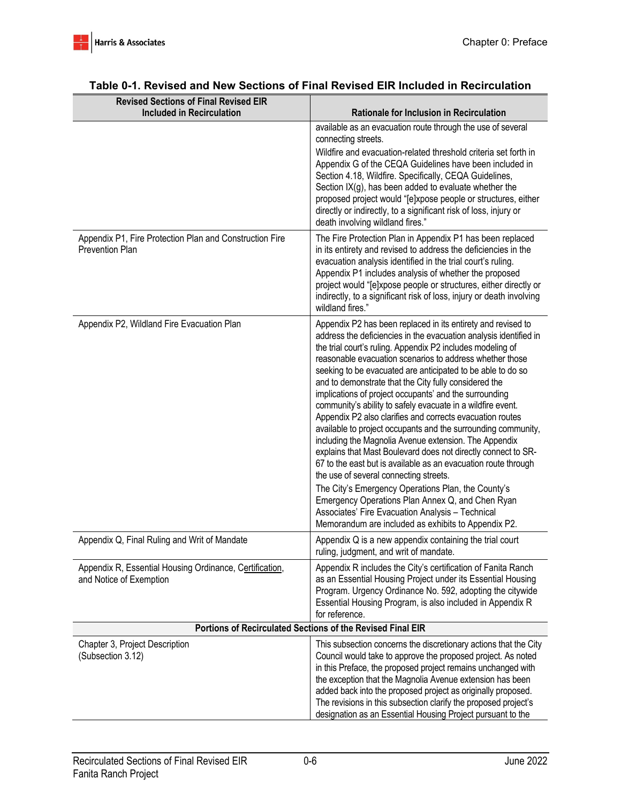| <b>Revised Sections of Final Revised EIR</b><br><b>Included in Recirculation</b>   |                                                                                                                                                                                                                                                                                                                                                                                                                                                                                                                                                                                                                                                                                                                                                                                                                                                                                                                                                                                                                                                                                                       |
|------------------------------------------------------------------------------------|-------------------------------------------------------------------------------------------------------------------------------------------------------------------------------------------------------------------------------------------------------------------------------------------------------------------------------------------------------------------------------------------------------------------------------------------------------------------------------------------------------------------------------------------------------------------------------------------------------------------------------------------------------------------------------------------------------------------------------------------------------------------------------------------------------------------------------------------------------------------------------------------------------------------------------------------------------------------------------------------------------------------------------------------------------------------------------------------------------|
|                                                                                    | <b>Rationale for Inclusion in Recirculation</b><br>available as an evacuation route through the use of several                                                                                                                                                                                                                                                                                                                                                                                                                                                                                                                                                                                                                                                                                                                                                                                                                                                                                                                                                                                        |
|                                                                                    | connecting streets.<br>Wildfire and evacuation-related threshold criteria set forth in<br>Appendix G of the CEQA Guidelines have been included in<br>Section 4.18, Wildfire. Specifically, CEQA Guidelines,<br>Section IX(g), has been added to evaluate whether the<br>proposed project would "[e]xpose people or structures, either<br>directly or indirectly, to a significant risk of loss, injury or<br>death involving wildland fires."                                                                                                                                                                                                                                                                                                                                                                                                                                                                                                                                                                                                                                                         |
| Appendix P1, Fire Protection Plan and Construction Fire<br><b>Prevention Plan</b>  | The Fire Protection Plan in Appendix P1 has been replaced<br>in its entirety and revised to address the deficiencies in the<br>evacuation analysis identified in the trial court's ruling.<br>Appendix P1 includes analysis of whether the proposed<br>project would "[e]xpose people or structures, either directly or<br>indirectly, to a significant risk of loss, injury or death involving<br>wildland fires."                                                                                                                                                                                                                                                                                                                                                                                                                                                                                                                                                                                                                                                                                   |
| Appendix P2, Wildland Fire Evacuation Plan                                         | Appendix P2 has been replaced in its entirety and revised to<br>address the deficiencies in the evacuation analysis identified in<br>the trial court's ruling. Appendix P2 includes modeling of<br>reasonable evacuation scenarios to address whether those<br>seeking to be evacuated are anticipated to be able to do so<br>and to demonstrate that the City fully considered the<br>implications of project occupants' and the surrounding<br>community's ability to safely evacuate in a wildfire event.<br>Appendix P2 also clarifies and corrects evacuation routes<br>available to project occupants and the surrounding community,<br>including the Magnolia Avenue extension. The Appendix<br>explains that Mast Boulevard does not directly connect to SR-<br>67 to the east but is available as an evacuation route through<br>the use of several connecting streets.<br>The City's Emergency Operations Plan, the County's<br>Emergency Operations Plan Annex Q, and Chen Ryan<br>Associates' Fire Evacuation Analysis - Technical<br>Memorandum are included as exhibits to Appendix P2. |
| Appendix Q, Final Ruling and Writ of Mandate                                       | Appendix Q is a new appendix containing the trial court<br>ruling, judgment, and writ of mandate.                                                                                                                                                                                                                                                                                                                                                                                                                                                                                                                                                                                                                                                                                                                                                                                                                                                                                                                                                                                                     |
| Appendix R, Essential Housing Ordinance, Certification,<br>and Notice of Exemption | Appendix R includes the City's certification of Fanita Ranch<br>as an Essential Housing Project under its Essential Housing<br>Program. Urgency Ordinance No. 592, adopting the citywide<br>Essential Housing Program, is also included in Appendix R<br>for reference.                                                                                                                                                                                                                                                                                                                                                                                                                                                                                                                                                                                                                                                                                                                                                                                                                               |
| Portions of Recirculated Sections of the Revised Final EIR                         |                                                                                                                                                                                                                                                                                                                                                                                                                                                                                                                                                                                                                                                                                                                                                                                                                                                                                                                                                                                                                                                                                                       |
| Chapter 3, Project Description<br>(Subsection 3.12)                                | This subsection concerns the discretionary actions that the City<br>Council would take to approve the proposed project. As noted<br>in this Preface, the proposed project remains unchanged with<br>the exception that the Magnolia Avenue extension has been<br>added back into the proposed project as originally proposed.<br>The revisions in this subsection clarify the proposed project's<br>designation as an Essential Housing Project pursuant to the                                                                                                                                                                                                                                                                                                                                                                                                                                                                                                                                                                                                                                       |

#### **Table 0-1. Revised and New Sections of Final Revised EIR Included in Recirculation**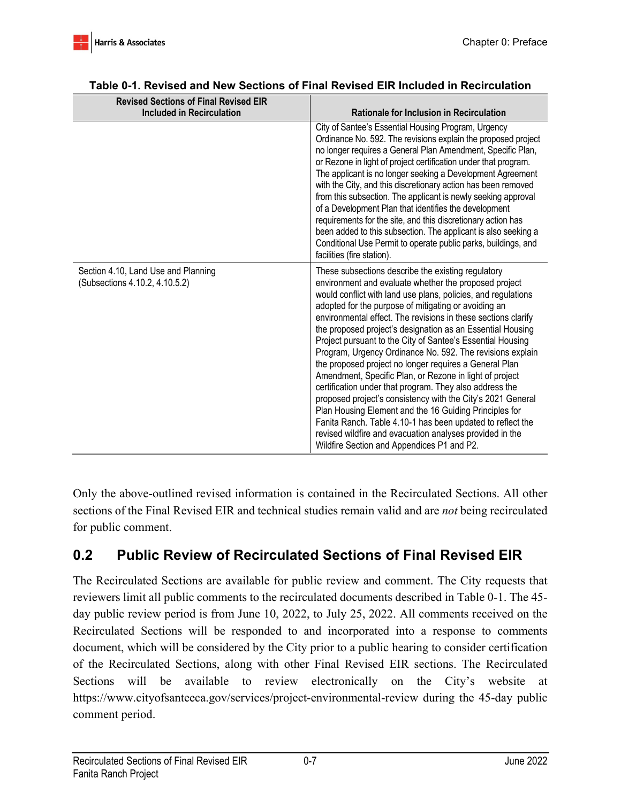| <b>Revised Sections of Final Revised EIR</b>                          |                                                                                                                                                                                                                                                                                                                                                                                                                                                                                                                                                                                                                                                                                                                                                                                                                                                                                                                                                                                 |
|-----------------------------------------------------------------------|---------------------------------------------------------------------------------------------------------------------------------------------------------------------------------------------------------------------------------------------------------------------------------------------------------------------------------------------------------------------------------------------------------------------------------------------------------------------------------------------------------------------------------------------------------------------------------------------------------------------------------------------------------------------------------------------------------------------------------------------------------------------------------------------------------------------------------------------------------------------------------------------------------------------------------------------------------------------------------|
| <b>Included in Recirculation</b>                                      | <b>Rationale for Inclusion in Recirculation</b>                                                                                                                                                                                                                                                                                                                                                                                                                                                                                                                                                                                                                                                                                                                                                                                                                                                                                                                                 |
|                                                                       | City of Santee's Essential Housing Program, Urgency<br>Ordinance No. 592. The revisions explain the proposed project<br>no longer requires a General Plan Amendment, Specific Plan,<br>or Rezone in light of project certification under that program.<br>The applicant is no longer seeking a Development Agreement<br>with the City, and this discretionary action has been removed<br>from this subsection. The applicant is newly seeking approval<br>of a Development Plan that identifies the development<br>requirements for the site, and this discretionary action has<br>been added to this subsection. The applicant is also seeking a<br>Conditional Use Permit to operate public parks, buildings, and<br>facilities (fire station).                                                                                                                                                                                                                               |
| Section 4.10, Land Use and Planning<br>(Subsections 4.10.2, 4.10.5.2) | These subsections describe the existing regulatory<br>environment and evaluate whether the proposed project<br>would conflict with land use plans, policies, and regulations<br>adopted for the purpose of mitigating or avoiding an<br>environmental effect. The revisions in these sections clarify<br>the proposed project's designation as an Essential Housing<br>Project pursuant to the City of Santee's Essential Housing<br>Program, Urgency Ordinance No. 592. The revisions explain<br>the proposed project no longer requires a General Plan<br>Amendment, Specific Plan, or Rezone in light of project<br>certification under that program. They also address the<br>proposed project's consistency with the City's 2021 General<br>Plan Housing Element and the 16 Guiding Principles for<br>Fanita Ranch. Table 4.10-1 has been updated to reflect the<br>revised wildfire and evacuation analyses provided in the<br>Wildfire Section and Appendices P1 and P2. |

## **Table 0-1. Revised and New Sections of Final Revised EIR Included in Recirculation**

Only the above-outlined revised information is contained in the Recirculated Sections. All other sections of the Final Revised EIR and technical studies remain valid and are *not* being recirculated for public comment.

# **0.2 Public Review of Recirculated Sections of Final Revised EIR**

The Recirculated Sections are available for public review and comment. The City requests that reviewers limit all public comments to the recirculated documents described in Table 0-1. The 45 day public review period is from June 10, 2022, to July 25, 2022. All comments received on the Recirculated Sections will be responded to and incorporated into a response to comments document, which will be considered by the City prior to a public hearing to consider certification of the Recirculated Sections, along with other Final Revised EIR sections. The Recirculated Sections will be available to review electronically on the City's website at https://www.cityofsanteeca.gov/services/project-environmental-review during the 45-day public comment period.